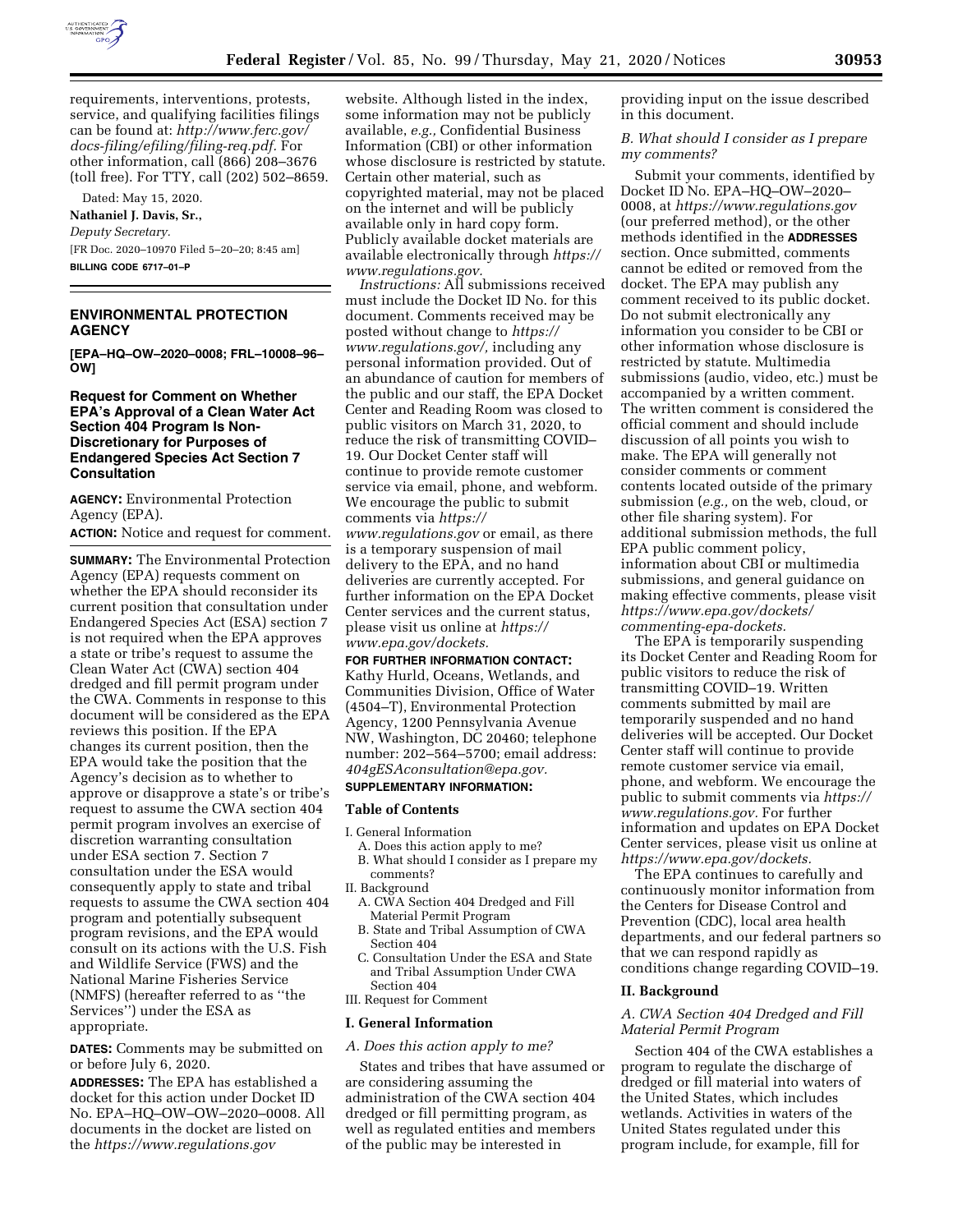

requirements, interventions, protests, service, and qualifying facilities filings can be found at: *[http://www.ferc.gov/](http://www.ferc.gov/docs-filing/efiling/filing-req.pdf)  [docs-filing/efiling/filing-req.pdf.](http://www.ferc.gov/docs-filing/efiling/filing-req.pdf)* For other information, call (866) 208–3676 (toll free). For TTY, call (202) 502–8659.

Dated: May 15, 2020.

# **Nathaniel J. Davis, Sr.,**

*Deputy Secretary.*  [FR Doc. 2020–10970 Filed 5–20–20; 8:45 am] **BILLING CODE 6717–01–P** 

# **ENVIRONMENTAL PROTECTION AGENCY**

**[EPA–HQ–OW–2020–0008; FRL–10008–96– OW]** 

### **Request for Comment on Whether EPA's Approval of a Clean Water Act Section 404 Program Is Non-Discretionary for Purposes of Endangered Species Act Section 7 Consultation**

**AGENCY:** Environmental Protection Agency (EPA).

**ACTION:** Notice and request for comment.

**SUMMARY:** The Environmental Protection Agency (EPA) requests comment on whether the EPA should reconsider its current position that consultation under Endangered Species Act (ESA) section 7 is not required when the EPA approves a state or tribe's request to assume the Clean Water Act (CWA) section 404 dredged and fill permit program under the CWA. Comments in response to this document will be considered as the EPA reviews this position. If the EPA changes its current position, then the EPA would take the position that the Agency's decision as to whether to approve or disapprove a state's or tribe's request to assume the CWA section 404 permit program involves an exercise of discretion warranting consultation under ESA section 7. Section 7 consultation under the ESA would consequently apply to state and tribal requests to assume the CWA section 404 program and potentially subsequent program revisions, and the EPA would consult on its actions with the U.S. Fish and Wildlife Service (FWS) and the National Marine Fisheries Service (NMFS) (hereafter referred to as ''the Services'') under the ESA as appropriate.

**DATES:** Comments may be submitted on or before July 6, 2020.

**ADDRESSES:** The EPA has established a docket for this action under Docket ID No. EPA–HQ–OW–OW–2020–0008. All documents in the docket are listed on the *<https://www.regulations.gov>*

website. Although listed in the index, some information may not be publicly available, *e.g.,* Confidential Business Information (CBI) or other information whose disclosure is restricted by statute. Certain other material, such as copyrighted material, may not be placed on the internet and will be publicly available only in hard copy form. Publicly available docket materials are available electronically through *[https://](https://www.regulations.gov)  [www.regulations.gov.](https://www.regulations.gov)* 

*Instructions:* All submissions received must include the Docket ID No. for this document. Comments received may be posted without change to *[https://](https://www.regulations.gov/) [www.regulations.gov/,](https://www.regulations.gov/)* including any personal information provided. Out of an abundance of caution for members of the public and our staff, the EPA Docket Center and Reading Room was closed to public visitors on March 31, 2020, to reduce the risk of transmitting COVID– 19. Our Docket Center staff will continue to provide remote customer service via email, phone, and webform. We encourage the public to submit comments via *[https://](https://www.regulations.gov)*

*[www.regulations.gov](https://www.regulations.gov)* or email, as there is a temporary suspension of mail delivery to the EPA, and no hand deliveries are currently accepted. For further information on the EPA Docket Center services and the current status, please visit us online at *[https://](https://www.epa.gov/dockets) [www.epa.gov/dockets.](https://www.epa.gov/dockets)* 

# **FOR FURTHER INFORMATION CONTACT:**

Kathy Hurld, Oceans, Wetlands, and Communities Division, Office of Water (4504–T), Environmental Protection Agency, 1200 Pennsylvania Avenue NW, Washington, DC 20460; telephone number: 202–564–5700; email address: *[404gESAconsultation@epa.gov.](mailto:404gESAconsultation@epa.gov)* 

# **SUPPLEMENTARY INFORMATION:**

#### **Table of Contents**

I. General Information

- A. Does this action apply to me?
- B. What should I consider as I prepare my comments?
- II. Background
- A. CWA Section 404 Dredged and Fill Material Permit Program
- B. State and Tribal Assumption of CWA Section 404
- C. Consultation Under the ESA and State and Tribal Assumption Under CWA Section 404

# III. Request for Comment

# **I. General Information**

# *A. Does this action apply to me?*

States and tribes that have assumed or are considering assuming the administration of the CWA section 404 dredged or fill permitting program, as well as regulated entities and members of the public may be interested in

providing input on the issue described in this document.

*B. What should I consider as I prepare my comments?* 

Submit your comments, identified by Docket ID No. EPA–HQ–OW–2020– 0008, at *<https://www.regulations.gov>*  (our preferred method), or the other methods identified in the **ADDRESSES** section. Once submitted, comments cannot be edited or removed from the docket. The EPA may publish any comment received to its public docket. Do not submit electronically any information you consider to be CBI or other information whose disclosure is restricted by statute. Multimedia submissions (audio, video, etc.) must be accompanied by a written comment. The written comment is considered the official comment and should include discussion of all points you wish to make. The EPA will generally not consider comments or comment contents located outside of the primary submission (*e.g.,* on the web, cloud, or other file sharing system). For additional submission methods, the full EPA public comment policy, information about CBI or multimedia submissions, and general guidance on making effective comments, please visit *[https://www.epa.gov/dockets/](https://www.epa.gov/dockets/commenting-epa-dockets)  [commenting-epa-dockets.](https://www.epa.gov/dockets/commenting-epa-dockets)* 

The EPA is temporarily suspending its Docket Center and Reading Room for public visitors to reduce the risk of transmitting COVID–19. Written comments submitted by mail are temporarily suspended and no hand deliveries will be accepted. Our Docket Center staff will continue to provide remote customer service via email, phone, and webform. We encourage the public to submit comments via *[https://](https://www.regulations.gov)  [www.regulations.gov.](https://www.regulations.gov)* For further information and updates on EPA Docket Center services, please visit us online at *[https://www.epa.gov/dockets.](https://www.epa.gov/dockets)* 

The EPA continues to carefully and continuously monitor information from the Centers for Disease Control and Prevention (CDC), local area health departments, and our federal partners so that we can respond rapidly as conditions change regarding COVID–19.

#### **II. Background**

### *A. CWA Section 404 Dredged and Fill Material Permit Program*

Section 404 of the CWA establishes a program to regulate the discharge of dredged or fill material into waters of the United States, which includes wetlands. Activities in waters of the United States regulated under this program include, for example, fill for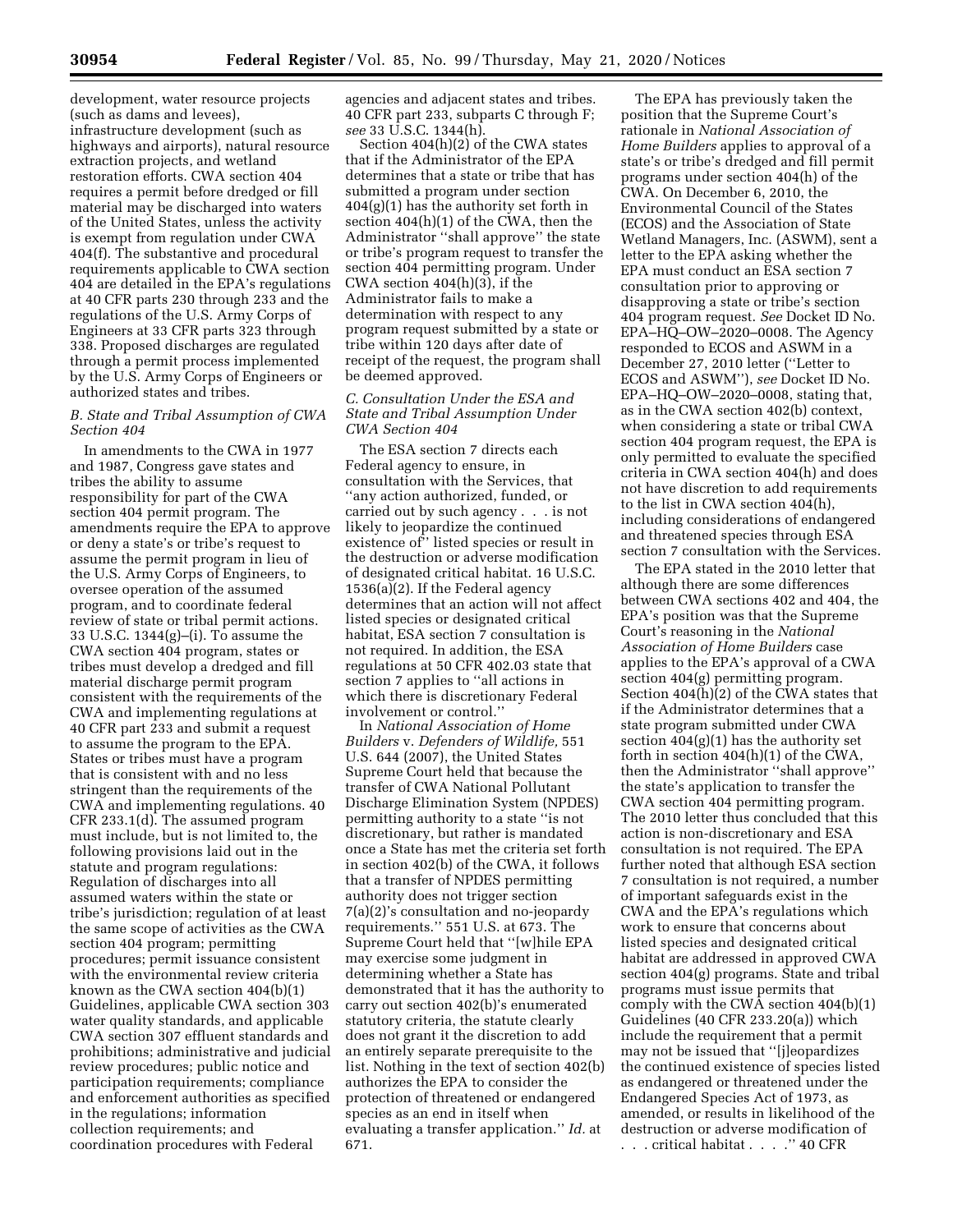development, water resource projects (such as dams and levees), infrastructure development (such as highways and airports), natural resource extraction projects, and wetland restoration efforts. CWA section 404 requires a permit before dredged or fill material may be discharged into waters of the United States, unless the activity is exempt from regulation under CWA 404(f). The substantive and procedural requirements applicable to CWA section 404 are detailed in the EPA's regulations at 40 CFR parts 230 through 233 and the regulations of the U.S. Army Corps of Engineers at 33 CFR parts 323 through 338. Proposed discharges are regulated through a permit process implemented by the U.S. Army Corps of Engineers or authorized states and tribes.

# *B. State and Tribal Assumption of CWA Section 404*

In amendments to the CWA in 1977 and 1987, Congress gave states and tribes the ability to assume responsibility for part of the CWA section 404 permit program. The amendments require the EPA to approve or deny a state's or tribe's request to assume the permit program in lieu of the U.S. Army Corps of Engineers, to oversee operation of the assumed program, and to coordinate federal review of state or tribal permit actions. 33 U.S.C. 1344(g)–(i). To assume the CWA section 404 program, states or tribes must develop a dredged and fill material discharge permit program consistent with the requirements of the CWA and implementing regulations at 40 CFR part 233 and submit a request to assume the program to the EPA. States or tribes must have a program that is consistent with and no less stringent than the requirements of the CWA and implementing regulations. 40 CFR 233.1(d). The assumed program must include, but is not limited to, the following provisions laid out in the statute and program regulations: Regulation of discharges into all assumed waters within the state or tribe's jurisdiction; regulation of at least the same scope of activities as the CWA section 404 program; permitting procedures; permit issuance consistent with the environmental review criteria known as the CWA section 404(b)(1) Guidelines, applicable CWA section 303 water quality standards, and applicable CWA section 307 effluent standards and prohibitions; administrative and judicial review procedures; public notice and participation requirements; compliance and enforcement authorities as specified in the regulations; information collection requirements; and coordination procedures with Federal

agencies and adjacent states and tribes. 40 CFR part 233, subparts C through F; *see* 33 U.S.C. 1344(h).

Section 404(h)(2) of the CWA states that if the Administrator of the EPA determines that a state or tribe that has submitted a program under section 404(g)(1) has the authority set forth in section 404(h)(1) of the CWA, then the Administrator ''shall approve'' the state or tribe's program request to transfer the section 404 permitting program. Under CWA section 404(h)(3), if the Administrator fails to make a determination with respect to any program request submitted by a state or tribe within 120 days after date of receipt of the request, the program shall be deemed approved.

### *C. Consultation Under the ESA and State and Tribal Assumption Under CWA Section 404*

The ESA section 7 directs each Federal agency to ensure, in consultation with the Services, that ''any action authorized, funded, or carried out by such agency . . . is not likely to jeopardize the continued existence of'' listed species or result in the destruction or adverse modification of designated critical habitat. 16 U.S.C. 1536(a)(2). If the Federal agency determines that an action will not affect listed species or designated critical habitat, ESA section 7 consultation is not required. In addition, the ESA regulations at 50 CFR 402.03 state that section 7 applies to ''all actions in which there is discretionary Federal involvement or control.''

In *National Association of Home Builders* v. *Defenders of Wildlife,* 551 U.S. 644 (2007), the United States Supreme Court held that because the transfer of CWA National Pollutant Discharge Elimination System (NPDES) permitting authority to a state ''is not discretionary, but rather is mandated once a State has met the criteria set forth in section 402(b) of the CWA, it follows that a transfer of NPDES permitting authority does not trigger section 7(a)(2)'s consultation and no-jeopardy requirements.'' 551 U.S. at 673. The Supreme Court held that ''[w]hile EPA may exercise some judgment in determining whether a State has demonstrated that it has the authority to carry out section 402(b)'s enumerated statutory criteria, the statute clearly does not grant it the discretion to add an entirely separate prerequisite to the list. Nothing in the text of section 402(b) authorizes the EPA to consider the protection of threatened or endangered species as an end in itself when evaluating a transfer application.'' *Id.* at 671.

The EPA has previously taken the position that the Supreme Court's rationale in *National Association of Home Builders* applies to approval of a state's or tribe's dredged and fill permit programs under section 404(h) of the CWA. On December 6, 2010, the Environmental Council of the States (ECOS) and the Association of State Wetland Managers, Inc. (ASWM), sent a letter to the EPA asking whether the EPA must conduct an ESA section 7 consultation prior to approving or disapproving a state or tribe's section 404 program request. *See* Docket ID No. EPA–HQ–OW–2020–0008. The Agency responded to ECOS and ASWM in a December 27, 2010 letter (''Letter to ECOS and ASWM''), *see* Docket ID No. EPA–HQ–OW–2020–0008, stating that, as in the CWA section 402(b) context, when considering a state or tribal CWA section 404 program request, the EPA is only permitted to evaluate the specified criteria in CWA section 404(h) and does not have discretion to add requirements to the list in CWA section 404(h), including considerations of endangered and threatened species through ESA section 7 consultation with the Services.

The EPA stated in the 2010 letter that although there are some differences between CWA sections 402 and 404, the EPA's position was that the Supreme Court's reasoning in the *National Association of Home Builders* case applies to the EPA's approval of a CWA section 404(g) permitting program. Section 404(h)(2) of the CWA states that if the Administrator determines that a state program submitted under CWA section 404(g)(1) has the authority set forth in section 404(h)(1) of the CWA, then the Administrator ''shall approve'' the state's application to transfer the CWA section 404 permitting program. The 2010 letter thus concluded that this action is non-discretionary and ESA consultation is not required. The EPA further noted that although ESA section 7 consultation is not required, a number of important safeguards exist in the CWA and the EPA's regulations which work to ensure that concerns about listed species and designated critical habitat are addressed in approved CWA section 404(g) programs. State and tribal programs must issue permits that comply with the CWA section 404(b)(1) Guidelines (40 CFR 233.20(a)) which include the requirement that a permit may not be issued that ''[j]eopardizes the continued existence of species listed as endangered or threatened under the Endangered Species Act of 1973, as amended, or results in likelihood of the destruction or adverse modification of . . . critical habitat . . . .'' 40 CFR